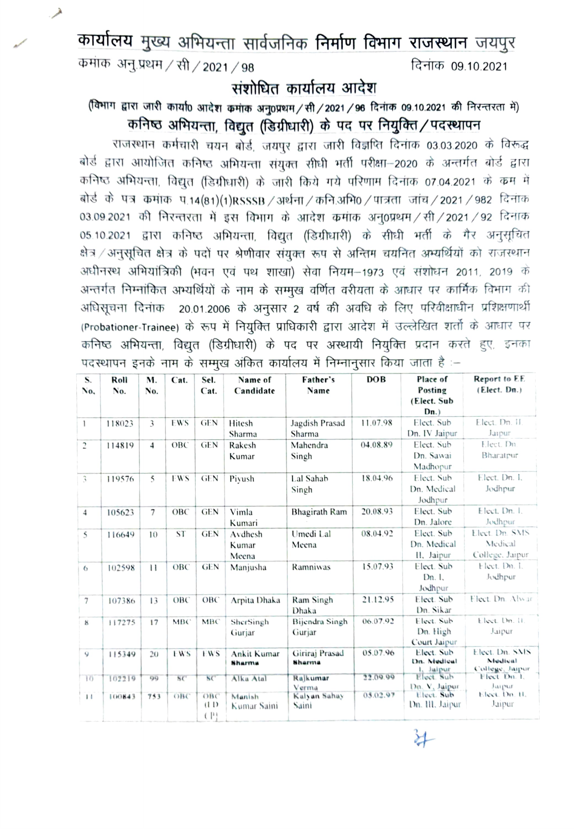कार्यालय मुख्य अभियन्ता सार्वजनिक निर्माण विभाग राजस्थान जयपुर कमांक अनु प्रथम / सी / 2021 / 98 दिनांक 09.10.2021

## संशोधित कार्यालय आदेश

## (विभाग द्वारा जारी कार्या0 आदेश कमांक अनु0प्रथम/सी/2021/96 दिनांक 09.10.2021 की निरन्तरता में) कनिष्ठ अभियन्ता, विद्युत (डिग्रीधारी) के पद पर नियुक्ति/पदस्थापन

राजस्थान कर्मचारी चयन बोर्ड, जयपुर द्वारा जारी विज्ञप्ति दिनांक 03.03.2020 के विरूद्ध बोर्ड द्वारा आयोजित कनिष्ठ अभियन्ता संयुक्त सीधी भर्ती परीक्षा-2020 के अन्तर्गत बोर्ड द्वारा कनिष्ठ अभियन्ता, विद्युत (डिग्रीधारी) के जारी किये गये परिणाम दिनांक 07.04.2021 के कम में बोर्ड के पत्र कमांक प.14(81)(1)RSSSB / अर्थना / कनि.अभि0 / पात्रता जांच / 2021 / 982 दिनांक 03.09.2021 की निरन्तरता में इस विभाग के आदेश कमांक अनु0प्रथम / सी / 2021 / 92 दिनांक 05.10.2021 द्वारा कनिष्ठ अभियन्ता, विद्युत (डिग्रीधारी) के सीधी भर्ती के गैर अनुसूचित क्षेत्र / अनुसूचित क्षेत्र के पदों पर श्रेणीवार संयुक्त रूप से अन्तिम चयनित अभ्यर्थियों को राजस्थान अधीनस्थ अभियांत्रिकी (भवन एवं पथ शाखा) सेवा नियम-1973 एवं संशोधन 2011, 2019 के अन्तर्गत निम्नांकित अभ्यर्थियों के नाम के सम्मुख वर्णित वरीयता के आधार पर कार्मिक विभाग की अधिसूचना दिनांक 20.01.2006 के अनुसार 2 वर्ष की अवधि के लिए परिवीक्षाधीन प्रशिक्षणार्थी (Probationer-Trainee) के रूप में नियुक्ति प्राधिकारी द्वारा आदेश में उल्लेखित शर्तो के आधार पर कनिष्ठ अभियन्ता, विद्युत (डिग्रीधारी) के पद पर अस्थायी नियुक्ति प्रदान करते हुए, इनका पदस्थापन इनके नाम के सम्मुख अंकित कार्यालय में निम्नानुसार किया जाता है :-

| S.<br>No.           | Roll<br>No. | M.<br>No.                | Cat.       | Sel.<br>Cat.       | Name of<br>Candidate      | Father's<br>Name         | DOB      | Place of<br>Posting<br>(Elect. Sub<br>Dn. | Report to EE<br>(Elect. Dn.)                 |
|---------------------|-------------|--------------------------|------------|--------------------|---------------------------|--------------------------|----------|-------------------------------------------|----------------------------------------------|
| $\mathbf{1}$        | 118023      | 3                        | EWS        | <b>GEN</b>         | Hitesh<br>Sharma          | Jagdish Prasad<br>Sharma | 11.07.98 | Elect. Sub<br>Dn. IV Jaipur               | Elect. Dn. II.<br>Jarpur                     |
| $\overline{c}$      | 114819      | $\overline{4}$           | OBC        | <b>GEN</b>         | Rakesh<br>Kumar           | Mahendra<br>Singh        | 04.08.89 | Elect. Sub<br>Dn. Sawai<br>Madhopur       | Elect. Dn.<br>Bharatpur                      |
| $\mathfrak{Z}$      | 119576      | $\overline{\phantom{0}}$ | <b>EWS</b> | <b>GEN</b>         | Piyush                    | Lal Sahab<br>Singh       | 18.04.96 | Elect. Sub<br>Dn. Medical<br>Jodhpur      | Elect. Dn. I.<br>Jodhpur                     |
| $\overline{4}$      | 105623      | $\overline{7}$           | OBC        | <b>GEN</b>         | Vimla<br>Kumari           | Bhagirath Ram            | 20.08.93 | Elect. Sub<br>Dn. Jalore                  | Elect. Dn. 1.<br>Jodhpur                     |
| 5                   | 116649      | 10                       | <b>ST</b>  | <b>GEN</b>         | Avdhesh<br>Kumar<br>Meena | Umedi Lal<br>Meena       | 08.04.92 | Elect. Sub<br>Dn. Medical<br>II, Jaipur   | Elect. Dn. SMS<br>Medical<br>College. Jaipur |
| $\ddot{\mathrm{o}}$ | 102598      | $\mathbf{1}$             | OBC        | <b>GEN</b>         | Manjusha                  | Ramniwas                 | 15.07.93 | Elect. Sub<br>Dn. I.<br>Jodhpur           | Elect. Dn. I.<br>Jodhpur                     |
| $\overline{\tau}$   | 107386      | 13                       | ОВС        | OBC                | Arpita Dhaka              | Ram Singh<br>Dhaka       | 21.12.95 | Elect. Sub<br>Dn. Sikar                   | Elect. Dn. Alwar                             |
| K                   | 117275      | 17                       | MBC        | <b>MBC</b>         | SherSingh<br>Guriar       | Bijendra Singh<br>Gurjar | 06.07.92 | Elect. Sub<br>Dn. High<br>Court Jaipur    | Elect. Dn. 11.<br>Juipur                     |
| 9                   | 115349      | 20                       | EW'S       | EWS                | Ankit Kumar<br>Sharma     | Giriraj Prasad<br>Sharma | 05.07.96 | Elect. Sub<br>Dn. Medical<br>1. Jaipur    | Elect. Dn. SMS<br>Medical<br>College, Jaipor |
| 10                  | 102219      | 99                       | SC         | SC                 | Alka Atal                 | Rajkumar<br>Verma        | 22.09.99 | Elect. Sub.<br>Dn. V. Jaipur              | Fleet Dn. 1.<br>Jaipur                       |
| 11                  | 100843      | 753                      | OBC        | OBC<br>(11)<br>(P) | Manish<br>Kumar Saini     | Kalyan Sahay<br>Saini    | 05.02.97 | Elect. Sub<br>Dn. III. Jaipur             | Elect. Dn. H.<br>Jaipur                      |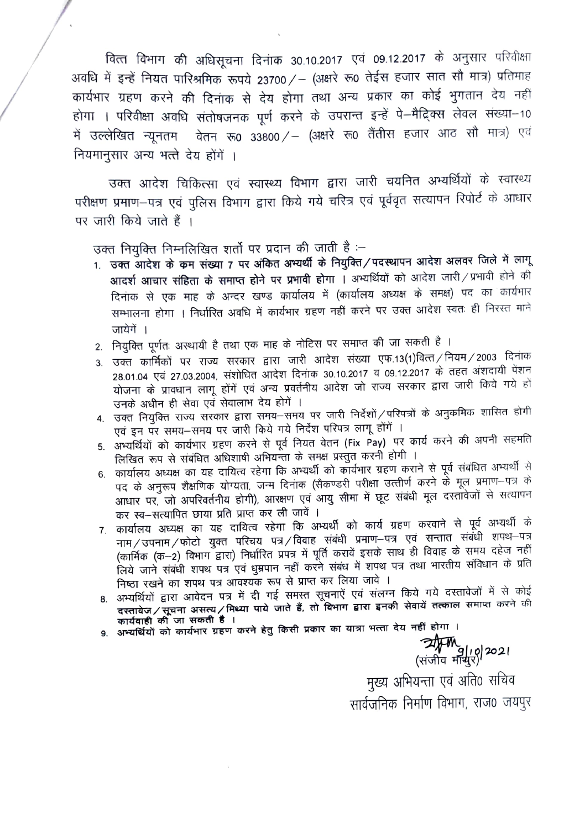वित्त विभाग की अधिसूचना दिनांक 30.10.2017 एवं 09.12.2017 के अनुसार परिवीक्षा अवधि में इन्हें नियत पारिश्रमिक रूपये 23700 / - (अक्षरे रू0 तेईस हजार सात सौ मात्र) प्रतिमाह कार्यभार ग्रहण करने की दिनांक से देय होगा तथा अन्य प्रकार का कोई भुगतान देय नहीं होगा । परिवीक्षा अवधि संतोषजनक पूर्ण करने के उपरान्त इन्हें पे-मैद्रिक्स लेवल संख्या-10 में उल्लेखित न्यूनतम वेतन रू0 33800/- (अक्षरे रू0 तैंतीस हजार आठ सौ मात्र) एवं नियमानुसार अन्य भत्ते देय होंगें ।

उक्त आदेश चिकित्सा एवं स्वास्थ्य विभाग द्वारा जारी चयनित अभ्यर्थियों के स्वास्थ्य परीक्षण प्रमाण–पत्र एवं पुलिस विभाग द्वारा किये गये चरित्र एवं पूर्ववृत सत्यापन रिपोर्ट के आधार पर जारी किये जाते हैं ।

उक्त नियुक्ति निम्नलिखित शर्तो पर प्रदान की जाती है :-

- 1. उक्त आदेश के कम संख्या 7 पर अंकित अभ्यर्थी के नियुक्ति/पदस्थापन आदेश अलवर जिले में लागू आदर्श आचार संहिता के समाप्त होने पर प्रभावी होगा । अभ्यर्थियों को आदेश जारी / प्रभावी होने की दिनाक से एक माह के अन्दर खण्ड कार्यालय में (कार्यालय अध्यक्ष के समक्ष) पद का कार्यभार सम्भालना होगा । निर्धारित अवधि में कार्यभार ग्रहण नहीं करने पर उक्त आदेश स्वतः ही निरस्त माने जायेगें ।
- 2. नियुक्ति पूर्णतः अस्थायी है तथा एक माह के नोटिस पर समाप्त की जा सकती है ।
- 3. उक्त कार्मिकों पर राज्य सरकार द्वारा जारी आदेश संख्या एफ.13(1)वित्त/नियम/2003 दिनांक 28.01.04 एवं 27.03.2004, संशोधित आदेश दिनांक 30.10.2017 व 09.12.2017 के तहत अंशदायी पेंशन योजना के प्रावधान लागू होंगें एवं अन्य प्रवर्तनीय आदेश जो राज्य सरकार द्वारा जारी किये गये हों उनके अधीन ही सेवा एवं सेवालाभ देय होगें ।
- 4. उक्त नियुक्ति राज्य सरकार द्वारा समय–समय पर जारी निर्देशों/परिपत्रों के अनुक्रमिक शासित होगी एवं इन पर समय-समय पर जारी किये गये निर्देश परिपत्र लागू होंगें ।
- 5. अभ्यर्थियों को कार्यभार ग्रहण करने से पूर्व नियत वेतन (Fix Pay) पर कार्य करने की अपनी सहमति लिखित रूप से संबंधित अधिशाषी अभियन्ता के समक्ष प्रस्तुत करनी होगी ।
- 6. कार्यालय अध्यक्ष का यह दायित्व रहेगा कि अभ्यर्थी को कार्यभार ग्रहण कराने से पूर्व संबंधित अभ्यर्थी से पद के अनुरूप शैक्षणिक योग्यता, जन्म दिनांक (सैकण्डरी परीक्षा उत्तीर्ण करने के मूल प्रमाण–पत्र के आधार पर, जो अपरिवर्तनीय होगी), आरक्षण एवं आयु सीमा में छूट संबंधी मूल दस्तावेजों से सत्यापन कर स्व-सत्यापित छाया प्रति प्राप्त कर ली जावें ।
- 7. कार्यालय अध्यक्ष का यह दायित्व रहेगा कि अभ्यर्थी को कार्य ग्रहण करवाने से पूर्व अभ्यर्थी के नाम/उपनाम/फोटो युक्त परिचय पत्र/विवाह संबंधी प्रमाण-पत्र एवं सन्तात संबंधी शपथ-पत्र (कार्मिक (क-2) विभाग द्वारा) निर्धारित प्रपत्र में पूर्ति करावें इसके साथ ही विवाह के समय दहेज नहीं लिये जाने संबंधी शपथ पत्र एवं धुम्रपान नहीं करने संबंध में शपथ पत्र तथा भारतीय संविधान के प्रति निष्ठा रखने का शपथ पत्र आवश्यक रूप से प्राप्त कर लिया जावे ।
- 8. अभ्यर्थियों द्वारा आवेदन पत्र में दी गई समस्त सूचनाऐं एवं संलग्न किये गये दस्तावेजों में से कोई दस्तावेज / सूचना असत्य / मिथ्या पाये जाते हैं, तो विभाग द्वारा इनकी सेवायें तत्काल समाप्त करने की कार्यवाही की जा सकती है ।
- 9. अभ्यर्थियों को कार्यभार ग्रहण करने हेतु किसी प्रकार का यात्रा भत्ता देय नहीं होगा ।

**त्याम् ।**<br>(संजीव माथुर) 2021

मुख्य अभियन्ता एवं अति0 सचिव सार्वजनिक निर्माण विभाग, राज0 जयपुर